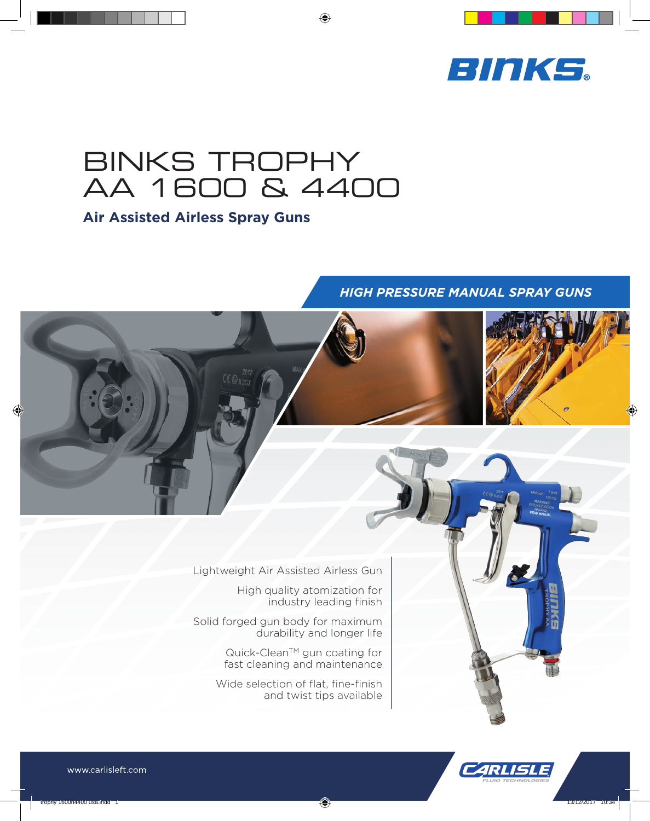

# BINKS TROPHY AA 1600 & 4400

## **Air Assisted Airless Spray Guns**

## *HIGH PRESSURE MANUAL SPRAY GUNS*

Lightweight Air Assisted Airless Gun

High quality atomization for industry leading finish

Solid forged gun body for maximum durability and longer life

> Quick-Clean<sup>™</sup> gun coating for fast cleaning and maintenance

Wide selection of flat, fine-finish and twist tips available

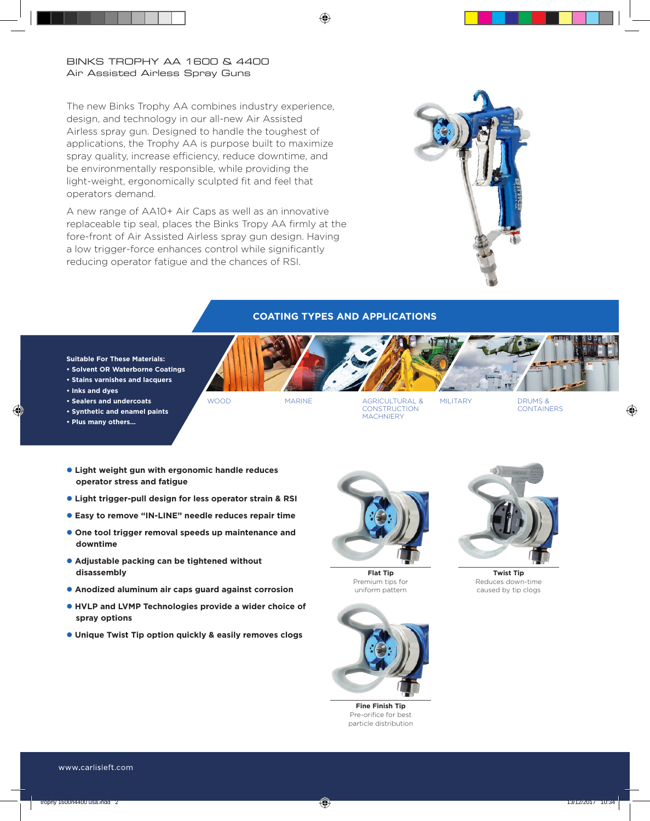### BINKS TROPHY AA 1600 & 4400 Air Assisted Airless Spray Guns

The new Binks Trophy AA combines industry experience, design, and technology in our all-new Air Assisted Airless spray gun. Designed to handle the toughest of applications, the Trophy AA is purpose built to maximize spray quality, increase efficiency, reduce downtime, and be environmentally responsible, while providing the light-weight, ergonomically sculpted fit and feel that operators demand.

A new range of AA10+ Air Caps as well as an innovative replaceable tip seal, places the Binks Tropy AA firmly at the fore-front of Air Assisted Airless spray gun design. Having a low trigger-force enhances control while significantly reducing operator fatigue and the chances of RSI.



## **COATING TYPES AND APPLICATIONS**

#### **Suitable For These Materials:**

- **Solvent OR Waterborne Coatings**
- **Stains varnishes and lacquers**
- **Inks and dyes**
- **Sealers and undercoats**
- **Synthetic and enamel paints**
- **Plus many others…**

WOOD MARINE AGRICULTURAL & **CONSTRUCTION MACHNIFRY** 

MILITARY DRUMS & **CONTAINERS** 

- $\bullet$  **Light weight gun with ergonomic handle reduces operator stress and fatigue**
- l **Light trigger-pull design for less operator strain & RSI**
- **e** Easy to remove "IN-LINE" needle reduces repair time
- **.** One tool trigger removal speeds up maintenance and **downtime**
- **Adjustable packing can be tightened without disassembly**
- **Anodized aluminum air caps guard against corrosion**
- **e** HVLP and LVMP Technologies provide a wider choice of **spray options**
- **.** Unique Twist Tip option quickly & easily removes clogs



**Flat Tip** Premium tips for uniform pattern



**Fine Finish Tip** Pre-orifice for best particle distribution



**Twist Tip** Reduces down-time caused by tip clogs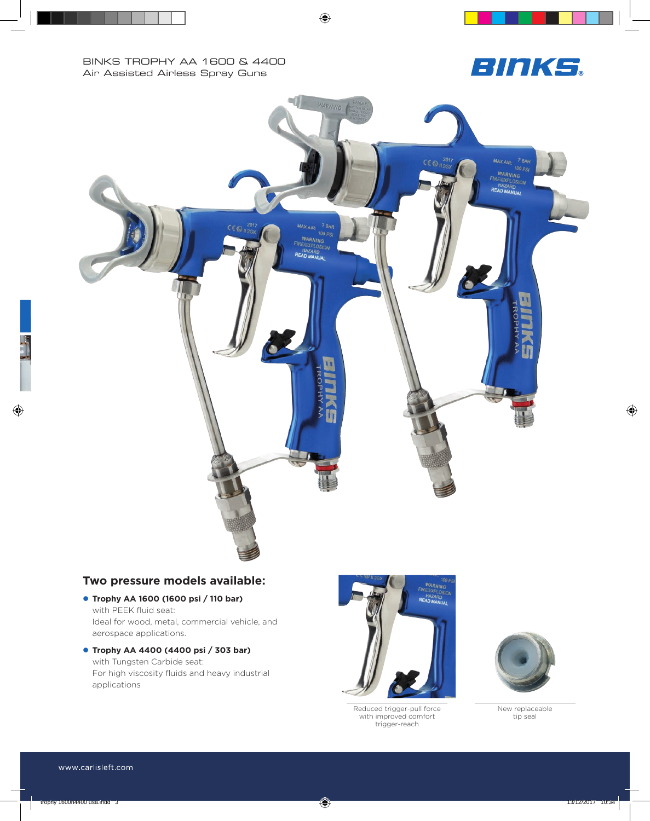



## **Two pressure models available:**

- l **Trophy AA 1600 (1600 psi / 110 bar)**  with PEEK fluid seat: Ideal for wood, metal, commercial vehicle, and aerospace applications.
- l **Trophy AA 4400 (4400 psi / 303 bar)**  with Tungsten Carbide seat: For high viscosity fluids and heavy industrial applications



Reduced trigger-pull force with improved comfort trigger-reach



New replaceable tip seal